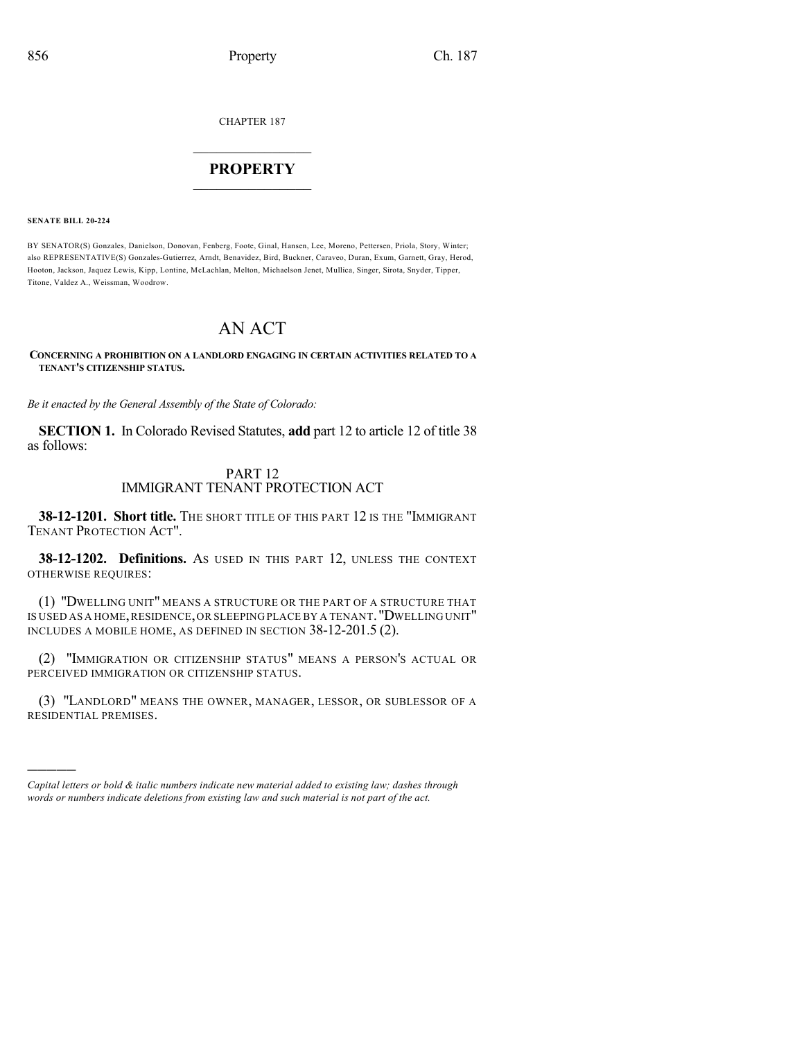CHAPTER 187

## $\overline{\phantom{a}}$  . The set of the set of the set of the set of the set of the set of the set of the set of the set of the set of the set of the set of the set of the set of the set of the set of the set of the set of the set o **PROPERTY**  $\_$   $\_$   $\_$   $\_$   $\_$   $\_$   $\_$   $\_$   $\_$

**SENATE BILL 20-224**

)))))

BY SENATOR(S) Gonzales, Danielson, Donovan, Fenberg, Foote, Ginal, Hansen, Lee, Moreno, Pettersen, Priola, Story, Winter; also REPRESENTATIVE(S) Gonzales-Gutierrez, Arndt, Benavidez, Bird, Buckner, Caraveo, Duran, Exum, Garnett, Gray, Herod, Hooton, Jackson, Jaquez Lewis, Kipp, Lontine, McLachlan, Melton, Michaelson Jenet, Mullica, Singer, Sirota, Snyder, Tipper, Titone, Valdez A., Weissman, Woodrow.

# AN ACT

#### **CONCERNING A PROHIBITION ON A LANDLORD ENGAGING IN CERTAIN ACTIVITIES RELATED TO A TENANT'S CITIZENSHIP STATUS.**

*Be it enacted by the General Assembly of the State of Colorado:*

**SECTION 1.** In Colorado Revised Statutes, **add** part 12 to article 12 of title 38 as follows:

### PART 12 IMMIGRANT TENANT PROTECTION ACT

**38-12-1201. Short title.** THE SHORT TITLE OF THIS PART 12 IS THE "IMMIGRANT TENANT PROTECTION ACT".

**38-12-1202. Definitions.** AS USED IN THIS PART 12, UNLESS THE CONTEXT OTHERWISE REQUIRES:

(1) "DWELLING UNIT" MEANS A STRUCTURE OR THE PART OF A STRUCTURE THAT IS USED AS A HOME,RESIDENCE,OR SLEEPING PLACE BY A TENANT."DWELLING UNIT" INCLUDES A MOBILE HOME, AS DEFINED IN SECTION 38-12-201.5 (2).

(2) "IMMIGRATION OR CITIZENSHIP STATUS" MEANS A PERSON'S ACTUAL OR PERCEIVED IMMIGRATION OR CITIZENSHIP STATUS.

(3) "LANDLORD" MEANS THE OWNER, MANAGER, LESSOR, OR SUBLESSOR OF A RESIDENTIAL PREMISES.

*Capital letters or bold & italic numbers indicate new material added to existing law; dashes through words or numbers indicate deletions from existing law and such material is not part of the act.*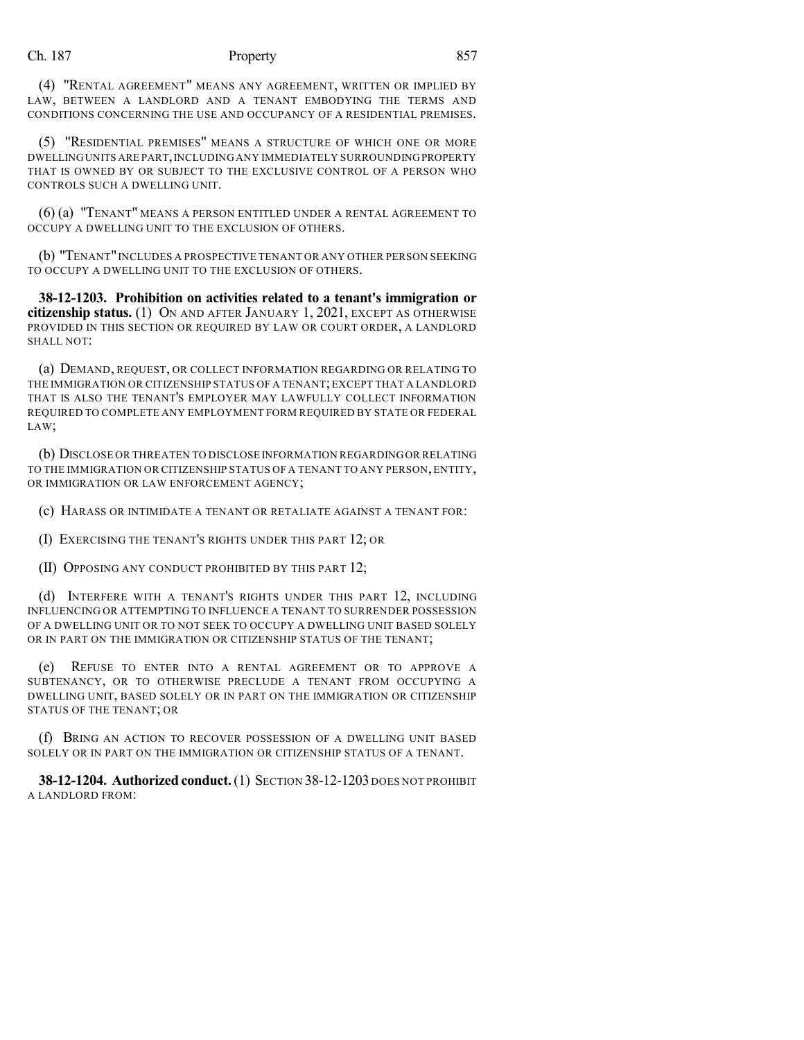#### Ch. 187 Property 857

(4) "RENTAL AGREEMENT" MEANS ANY AGREEMENT, WRITTEN OR IMPLIED BY LAW, BETWEEN A LANDLORD AND A TENANT EMBODYING THE TERMS AND CONDITIONS CONCERNING THE USE AND OCCUPANCY OF A RESIDENTIAL PREMISES.

(5) "RESIDENTIAL PREMISES" MEANS A STRUCTURE OF WHICH ONE OR MORE DWELLINGUNITS ARE PART,INCLUDINGANY IMMEDIATELY SURROUNDINGPROPERTY THAT IS OWNED BY OR SUBJECT TO THE EXCLUSIVE CONTROL OF A PERSON WHO CONTROLS SUCH A DWELLING UNIT.

(6) (a) "TENANT" MEANS A PERSON ENTITLED UNDER A RENTAL AGREEMENT TO OCCUPY A DWELLING UNIT TO THE EXCLUSION OF OTHERS.

(b) "TENANT"INCLUDES A PROSPECTIVE TENANT OR ANY OTHER PERSON SEEKING TO OCCUPY A DWELLING UNIT TO THE EXCLUSION OF OTHERS.

**38-12-1203. Prohibition on activities related to a tenant's immigration or citizenship status.** (1) ON AND AFTER JANUARY 1, 2021, EXCEPT AS OTHERWISE PROVIDED IN THIS SECTION OR REQUIRED BY LAW OR COURT ORDER, A LANDLORD SHALL NOT:

(a) DEMAND, REQUEST, OR COLLECT INFORMATION REGARDING OR RELATING TO THE IMMIGRATION OR CITIZENSHIP STATUS OF A TENANT;EXCEPT THAT A LANDLORD THAT IS ALSO THE TENANT'S EMPLOYER MAY LAWFULLY COLLECT INFORMATION REQUIRED TO COMPLETE ANY EMPLOYMENT FORM REQUIRED BY STATE OR FEDERAL LAW;

(b) DISCLOSE OR THREATEN TO DISCLOSE INFORMATION REGARDINGOR RELATING TO THE IMMIGRATION OR CITIZENSHIP STATUS OF A TENANT TO ANY PERSON,ENTITY, OR IMMIGRATION OR LAW ENFORCEMENT AGENCY;

(c) HARASS OR INTIMIDATE A TENANT OR RETALIATE AGAINST A TENANT FOR:

(I) EXERCISING THE TENANT'S RIGHTS UNDER THIS PART 12; OR

(II) OPPOSING ANY CONDUCT PROHIBITED BY THIS PART 12;

(d) INTERFERE WITH A TENANT'S RIGHTS UNDER THIS PART 12, INCLUDING INFLUENCING OR ATTEMPTING TO INFLUENCE A TENANT TO SURRENDER POSSESSION OF A DWELLING UNIT OR TO NOT SEEK TO OCCUPY A DWELLING UNIT BASED SOLELY OR IN PART ON THE IMMIGRATION OR CITIZENSHIP STATUS OF THE TENANT;

(e) REFUSE TO ENTER INTO A RENTAL AGREEMENT OR TO APPROVE A SUBTENANCY, OR TO OTHERWISE PRECLUDE A TENANT FROM OCCUPYING A DWELLING UNIT, BASED SOLELY OR IN PART ON THE IMMIGRATION OR CITIZENSHIP STATUS OF THE TENANT; OR

(f) BRING AN ACTION TO RECOVER POSSESSION OF A DWELLING UNIT BASED SOLELY OR IN PART ON THE IMMIGRATION OR CITIZENSHIP STATUS OF A TENANT.

**38-12-1204. Authorized conduct.**(1) SECTION 38-12-1203 DOES NOT PROHIBIT A LANDLORD FROM: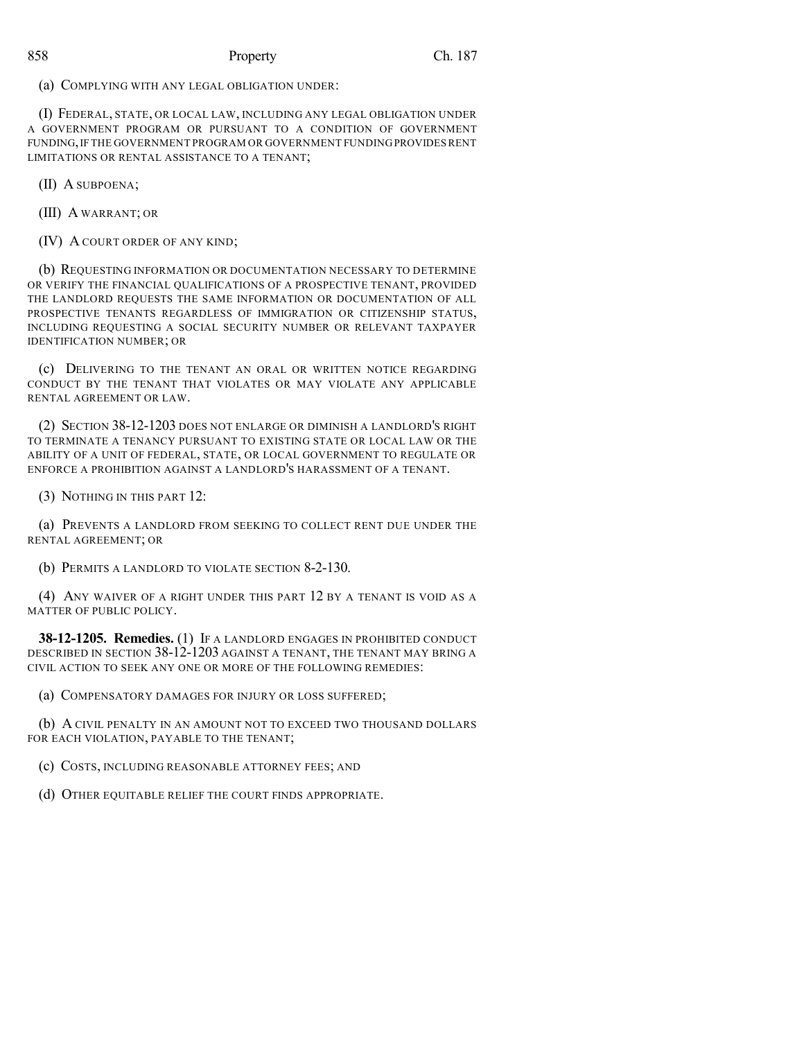### 858 Property Ch. 187

(a) COMPLYING WITH ANY LEGAL OBLIGATION UNDER:

(I) FEDERAL, STATE, OR LOCAL LAW, INCLUDING ANY LEGAL OBLIGATION UNDER A GOVERNMENT PROGRAM OR PURSUANT TO A CONDITION OF GOVERNMENT FUNDING,IF THE GOVERNMENT PROGRAM OR GOVERNMENT FUNDINGPROVIDESRENT LIMITATIONS OR RENTAL ASSISTANCE TO A TENANT;

(II) A SUBPOENA;

(III) A WARRANT; OR

(IV) A COURT ORDER OF ANY KIND;

(b) REQUESTING INFORMATION OR DOCUMENTATION NECESSARY TO DETERMINE OR VERIFY THE FINANCIAL QUALIFICATIONS OF A PROSPECTIVE TENANT, PROVIDED THE LANDLORD REQUESTS THE SAME INFORMATION OR DOCUMENTATION OF ALL PROSPECTIVE TENANTS REGARDLESS OF IMMIGRATION OR CITIZENSHIP STATUS, INCLUDING REQUESTING A SOCIAL SECURITY NUMBER OR RELEVANT TAXPAYER IDENTIFICATION NUMBER; OR

(c) DELIVERING TO THE TENANT AN ORAL OR WRITTEN NOTICE REGARDING CONDUCT BY THE TENANT THAT VIOLATES OR MAY VIOLATE ANY APPLICABLE RENTAL AGREEMENT OR LAW.

(2) SECTION 38-12-1203 DOES NOT ENLARGE OR DIMINISH A LANDLORD'S RIGHT TO TERMINATE A TENANCY PURSUANT TO EXISTING STATE OR LOCAL LAW OR THE ABILITY OF A UNIT OF FEDERAL, STATE, OR LOCAL GOVERNMENT TO REGULATE OR ENFORCE A PROHIBITION AGAINST A LANDLORD'S HARASSMENT OF A TENANT.

(3) NOTHING IN THIS PART 12:

(a) PREVENTS A LANDLORD FROM SEEKING TO COLLECT RENT DUE UNDER THE RENTAL AGREEMENT; OR

(b) PERMITS A LANDLORD TO VIOLATE SECTION 8-2-130.

(4) ANY WAIVER OF A RIGHT UNDER THIS PART 12 BY A TENANT IS VOID AS A MATTER OF PUBLIC POLICY.

**38-12-1205. Remedies.** (1) IF A LANDLORD ENGAGES IN PROHIBITED CONDUCT DESCRIBED IN SECTION 38-12-1203 AGAINST A TENANT, THE TENANT MAY BRING A CIVIL ACTION TO SEEK ANY ONE OR MORE OF THE FOLLOWING REMEDIES:

(a) COMPENSATORY DAMAGES FOR INJURY OR LOSS SUFFERED;

(b) A CIVIL PENALTY IN AN AMOUNT NOT TO EXCEED TWO THOUSAND DOLLARS FOR EACH VIOLATION, PAYABLE TO THE TENANT;

(c) COSTS, INCLUDING REASONABLE ATTORNEY FEES; AND

(d) OTHER EQUITABLE RELIEF THE COURT FINDS APPROPRIATE.